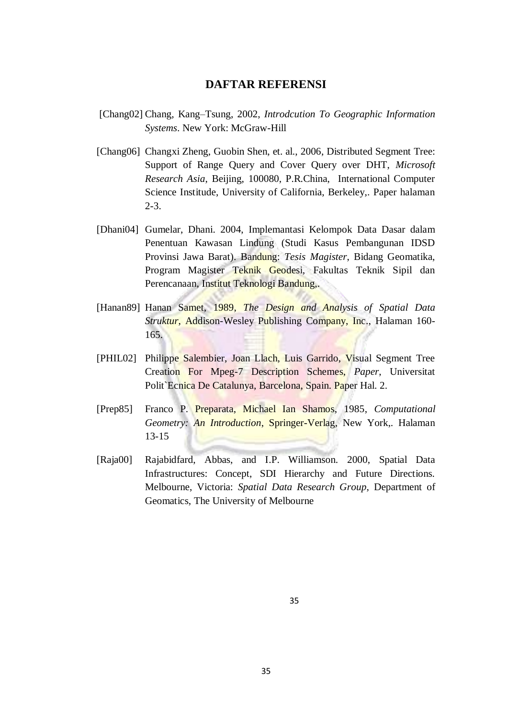## **DAFTAR REFERENSI**

- [Chang02] Chang, Kang–Tsung, 2002, *Introdcution To Geographic Information Systems*. New York: McGraw-Hill
- [Chang06] Changxi Zheng, Guobin Shen, et. al., 2006, Distributed Segment Tree: Support of Range Query and Cover Query over DHT, *Microsoft Research Asia*, Beijing, 100080, P.R.China, International Computer Science Institude, University of California, Berkeley,. Paper halaman 2-3.
- [Dhani04] Gumelar, Dhani. 2004, Implemantasi Kelompok Data Dasar dalam Penentuan Kawasan Lindung (Studi Kasus Pembangunan IDSD Provinsi Jawa Barat). Bandung: *Tesis Magister*, Bidang Geomatika, Program Magister Teknik Geodesi, Fakultas Teknik Sipil dan Perencanaan, Institut Teknologi Bandung,.
- [Hanan89] Hanan Samet, 1989, *The Design and Analysis of Spatial Data Struktur*, Addison-Wesley Publishing Company, Inc., Halaman 160- 165.
- [PHIL02] Philippe Salembier, Joan Llach, Luis Garrido, Visual Segment Tree Creation For Mpeg-7 Description Schemes, *Paper*, Universitat Polit`Ecnica De Catalunya, Barcelona, Spain. Paper Hal. 2.
- [Prep85] Franco P. Preparata, Michael Ian Shamos, 1985, *Computational Geometry: An Introduction*, Springer-Verlag, New York,. Halaman 13-15
- [Raja00] Rajabidfard, Abbas, and I.P. Williamson. 2000, Spatial Data Infrastructures: Concept, SDI Hierarchy and Future Directions. Melbourne, Victoria: *Spatial Data Research Group*, Department of Geomatics, The University of Melbourne

35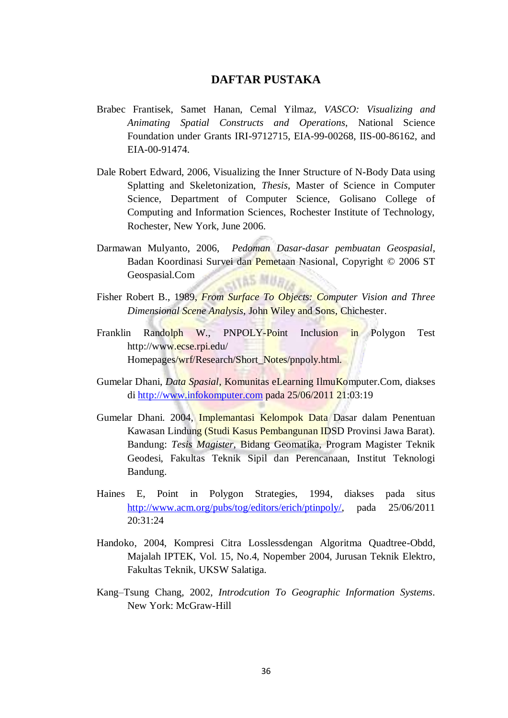## **DAFTAR PUSTAKA**

- Brabec Frantisek, Samet Hanan, Cemal Yilmaz, *VASCO: Visualizing and Animating Spatial Constructs and Operations*, National Science Foundation under Grants IRI-9712715, EIA-99-00268, IIS-00-86162, and EIA-00-91474.
- Dale Robert Edward, 2006, Visualizing the Inner Structure of N-Body Data using Splatting and Skeletonization, *Thesis*, Master of Science in Computer Science, Department of Computer Science, Golisano College of Computing and Information Sciences, Rochester Institute of Technology, Rochester, New York, June 2006.
- Darmawan Mulyanto, 2006, *Pedoman Dasar-dasar pembuatan Geospasial*, Badan Koordinasi Survei dan Pemetaan Nasional, Copyright © 2006 ST Geospasial.Com TAS MURL
- Fisher Robert B., 1989, *From Surface To Objects: Computer Vision and Three Dimensional Scene Analysis*, John Wiley and Sons, Chichester.
- Franklin Randolph W., PNPOLY-Point Inclusion in Polygon Test [http://www.ecse.rpi.edu/](http://www.ecse.rpi.edu/%20Homepages/wrf/Research/Short_Notes/pnpoly.html)  [Homepages/wrf/Research/Short\\_Notes/pnpoly.html.](http://www.ecse.rpi.edu/%20Homepages/wrf/Research/Short_Notes/pnpoly.html)
- Gumelar Dhani, *Data Spasial*, Komunitas eLearning IlmuKomputer.Com, diakses di [http://www.infokomputer.com](http://www.infokomputer.com/) pada 25/06/2011 21:03:19
- Gumelar Dhani. 2004, Implemantasi Kelompok Data Dasar dalam Penentuan Kawasan Lindung (Studi Kasus Pembangunan IDSD Provinsi Jawa Barat). Bandung: *Tesis Magister*, Bidang Geomatika, Program Magister Teknik Geodesi, Fakultas Teknik Sipil dan Perencanaan, Institut Teknologi Bandung.
- Haines E, Point in Polygon Strategies, 1994, diakses pada situs [http://www.acm.org/pubs/tog/editors/erich/ptinpoly/,](http://www.acm.org/pubs/tog/editors/erich/ptinpoly/) pada 25/06/2011 20:31:24
- Handoko, 2004, Kompresi Citra Losslessdengan Algoritma Quadtree-Obdd, Majalah IPTEK, Vol. 15, No.4, Nopember 2004, Jurusan Teknik Elektro, Fakultas Teknik, UKSW Salatiga.
- Kang–Tsung Chang, 2002, *Introdcution To Geographic Information Systems*. New York: McGraw-Hill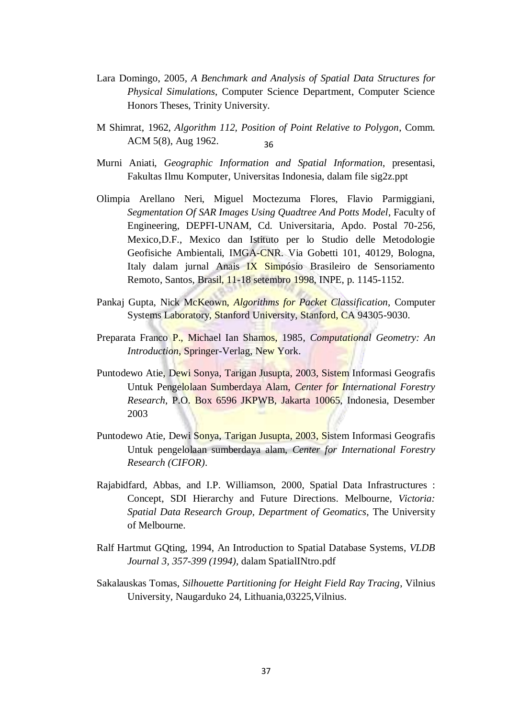- Lara Domingo, 2005, *A Benchmark and Analysis of Spatial Data Structures for Physical Simulations*, Computer Science Department, Computer Science Honors Theses, Trinity University.
- M Shimrat, 1962, *Algorithm 112, Position of Point Relative to Polygon*, Comm. ACM 5(8), Aug 1962. 36
- Murni Aniati, *Geographic Information and Spatial Information*, presentasi, Fakultas Ilmu Komputer, Universitas Indonesia, dalam file sig2z.ppt
- Olimpia Arellano Neri, Miguel Moctezuma Flores, Flavio Parmiggiani, *Segmentation Of SAR Images Using Quadtree And Potts Model*, Faculty of Engineering, DEPFI-UNAM, Cd. Universitaria, Apdo. Postal 70-256, Mexico,D.F., Mexico dan Istituto per lo Studio delle Metodologie Geofisiche Ambientali, IMGA-CNR. Via Gobetti 101, 40129, Bologna, Italy dalam jurnal Anais IX Simpósio Brasileiro de Sensoriamento Remoto, Santos, Brasil, 11-18 setembro 1998, INPE, p. 1145-1152.
- Pankaj Gupta, Nick McKeown, *Algorithms for Packet Classification*, Computer Systems Laboratory, Stanford University, Stanford, CA 94305-9030.
- Preparata Franco P., Michael Ian Shamos, 1985, *Computational Geometry: An Introduction*, Springer-Verlag, New York.
- Puntodewo Atie, Dewi Sonya, Tarigan Jusupta, 2003, Sistem Informasi Geografis Untuk Pengelolaan Sumberdaya Alam, *Center for International Forestry Research*, P.O. Box 6596 JKPWB, Jakarta 10065, Indonesia, Desember 2003
- Puntodewo Atie, Dewi Sonya, Tarigan Jusupta, 2003, Sistem Informasi Geografis Untuk pengelolaan sumberdaya alam, *Center for International Forestry Research (CIFOR)*.
- Rajabidfard, Abbas, and I.P. Williamson, 2000, Spatial Data Infrastructures : Concept, SDI Hierarchy and Future Directions. Melbourne, *Victoria: Spatial Data Research Group, Department of Geomatics*, The University of Melbourne.
- Ralf Hartmut GQting, 1994, An Introduction to Spatial Database Systems, *VLDB Journal 3, 357-399 (1994),* dalam SpatialINtro.pdf
- Sakalauskas Tomas, *Silhouette Partitioning for Height Field Ray Tracing*, Vilnius University, Naugarduko 24, Lithuania,03225,Vilnius.